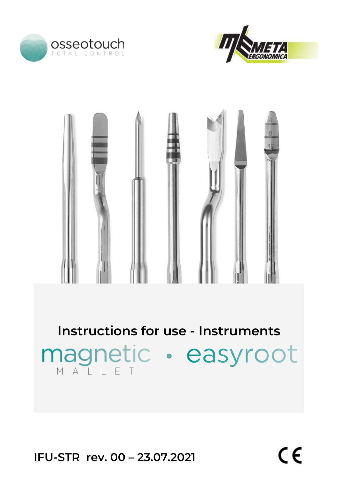





**Instructions for use - Instruments** magnetic · easyroot

**IFU-STR rev. 00 – 23.07.2021**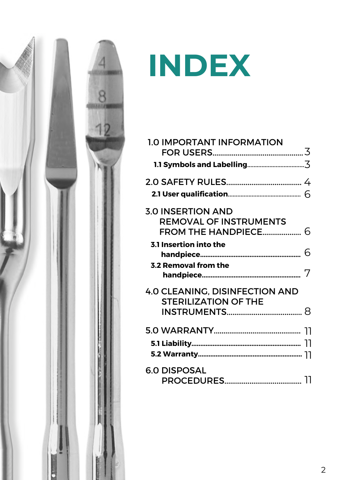

# **INDEX**

| <b>1.0 IMPORTANT INFORMATION</b>                                     |   |
|----------------------------------------------------------------------|---|
|                                                                      |   |
|                                                                      |   |
|                                                                      |   |
| <b>3.0 INSERTION AND</b>                                             |   |
| <b>REMOVAL OF INSTRUMENTS</b>                                        |   |
| FROM THE HANDPIECE 6                                                 |   |
| <b>3.1 Insertion into the</b>                                        |   |
|                                                                      | 6 |
| <b>3.2 Removal from the</b>                                          |   |
|                                                                      |   |
| <b>4.0 CLEANING, DISINFECTION AND</b><br><b>STERILIZATION OF THE</b> |   |
|                                                                      |   |
|                                                                      |   |
|                                                                      |   |
|                                                                      |   |
| <b>6.0 DISPOSAL</b>                                                  |   |
|                                                                      |   |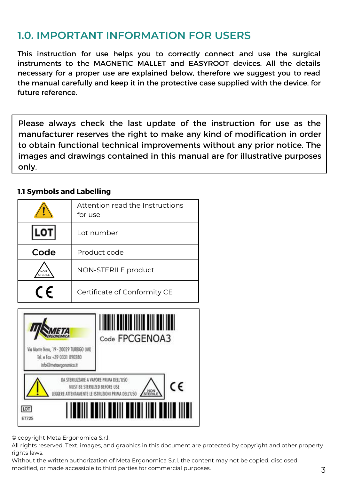## **1.0. IMPORTANT INFORMATION FOR USERS**

This instruction for use helps you to correctly connect and use the surgical instruments to the MAGNETIC MALLET and EASYROOT devices. All the details necessary for a proper use are explained below, therefore we suggest you to read the manual carefully and keep it in the protective case supplied with the device, for future reference.

Please always check the last update of the instruction for use as the manufacturer reserves the right to make any kind of modification in order to obtain functional technical improvements without any prior notice. The images and drawings contained in this manual are for illustrative purposes only.

### **1.1 Symbols and Labelling**

|            | Attention read the Instructions<br>for use |  |
|------------|--------------------------------------------|--|
| LOT        | Lot number                                 |  |
| Code       | Product code                               |  |
| <b>NON</b> | NON-STERILE product                        |  |
| $\epsilon$ | Certificate of Conformity CE               |  |



© copyright Meta Ergonomica S.r.l.

All rights reserved. Text, images, and graphics in this document are protected by copyright and other property rights laws.

Without the written authorization of Meta Ergonomica S.r.l. the content may not be copied, disclosed,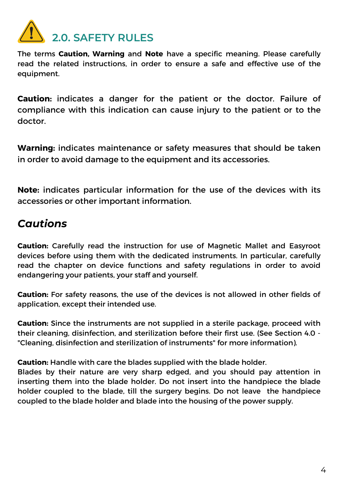

The terms **Caution, Warning** and **Note** have a specific meaning. Please carefully read the related instructions, in order to ensure a safe and effective use of the equipment.

**Caution:** indicates a danger for the patient or the doctor. Failure of compliance with this indication can cause injury to the patient or to the doctor.

**Warning:** indicates maintenance or safety measures that should be taken in order to avoid damage to the equipment and its accessories.

**Note:** indicates particular information for the use of the devices with its accessories or other important information.

## *Cautions*

**Caution:** Carefully read the instruction for use of Magnetic Mallet and Easyroot devices before using them with the dedicated instruments. In particular, carefully read the chapter on device functions and safety regulations in order to avoid endangering your patients, your staff and yourself.

**Caution:** For safety reasons, the use of the devices is not allowed in other fields of application, except their intended use.

**Caution:** Since the instruments are not supplied in a sterile package, proceed with their cleaning, disinfection, and sterilization before their first use. (See Section 4.0 - "Cleaning, disinfection and sterilization of instruments" for more information).

**Caution:** Handle with care the blades supplied with the blade holder.

Blades by their nature are very sharp edged, and you should pay attention in inserting them into the blade holder. Do not insert into the handpiece the blade holder coupled to the blade, till the surgery begins. Do not leave the handpiece coupled to the blade holder and blade into the housing of the power supply.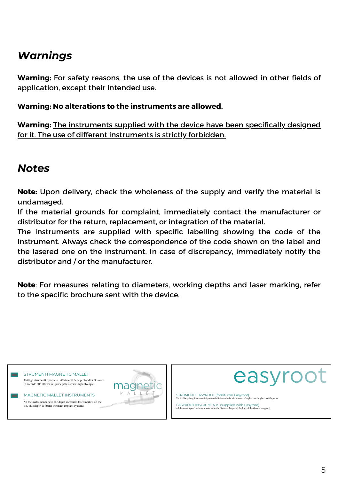## *Warnings*

**Warning:** For safety reasons, the use of the devices is not allowed in other fields of application, except their intended use.

#### **Warning: No alterations to the instruments are allowed.**

**Warning:** The instruments supplied with the device have been specifically designed for it. The use of different instruments is strictly forbidden.

## *Notes*

**Note:** Upon delivery, check the wholeness of the supply and verify the material is undamaged.

If the material grounds for complaint, immediately contact the manufacturer or distributor for the return, replacement, or integration of the material.

The instruments are supplied with specific labelling showing the code of the instrument. Always check the correspondence of the code shown on the label and the lasered one on the instrument. In case of discrepancy, immediately notify the distributor and / or the manufacturer.

**Note**: For measures relating to diameters, working depths and laser marking, refer to the specific brochure sent with the device.





STRUMENTI EASYROOT (forniti con Easyroot) Tutti i disegni degli strumenti riportano iriferimenti relativi a diametro/larghezza e lunghezza della punta

EASYROOT INSTRUMENTS (supplied with Easyroot) All the drawings of the instruments show the diameter/large and the long of the tip (working part)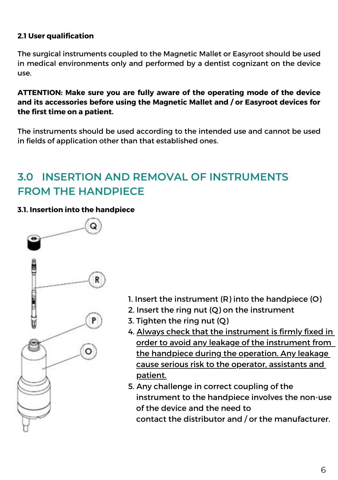## **2.1 User qualification**

The surgical instruments coupled to the Magnetic Mallet or Easyroot should be used in medical environments only and performed by a dentist cognizant on the device use.

**ATTENTION: Make sure you are fully aware of the operating mode of the device and its accessories before using the Magnetic Mallet and / or Easyroot devices for the first time on a patient.**

The instruments should be used according to the intended use and cannot be used in fields of application other than that established ones.

## **3.0 INSERTION AND REMOVAL OF INSTRUMENTS FROM THE HANDPIECE**

#### **3.1. Insertion into the handpiece**



- 1. Insert the instrument (R) into the handpiece (O)
- 2. Insert the ring nut (Q) on the instrument
- 3. Tighten the ring nut (Q)
- 4. Always check that the instrument is firmly fixed in order to avoid any leakage of the instrument from the handpiece during the operation. Any leakage cause serious risk to the operator, assistants and patient.
- 5. Any challenge in correct coupling of the instrument to the handpiece involves the non-use of the device and the need to contact the distributor and / or the manufacturer.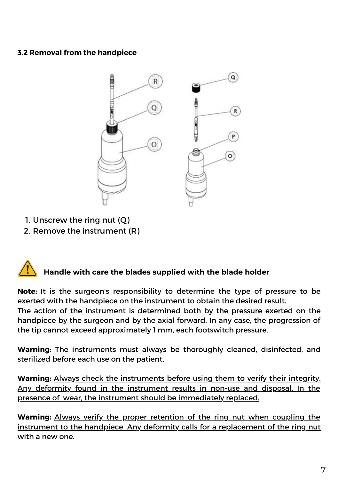### **3.2 Removal from the handpiece**



- 1. Unscrew the ring nut (Q)
- 2. Remove the instrument (R)

## **Handle with care the blades supplied with the blade holder**

**Note:** It is the surgeon's responsibility to determine the type of pressure to be exerted with the handpiece on the instrument to obtain the desired result.

The action of the instrument is determined both by the pressure exerted on the handpiece by the surgeon and by the axial forward. In any case, the progression of the tip cannot exceed approximately 1 mm, each footswitch pressure.

**Warning:** The instruments must always be thoroughly cleaned, disinfected, and sterilized before each use on the patient.

**Warning:** Always check the instruments before using them to verify their integrity. Any deformity found in the instrument results in non-use and disposal. In the presence of wear, the instrument should be immediately replaced.

**Warning:** Always verify the proper retention of the ring nut when coupling the instrument to the handpiece. Any deformity calls for a replacement of the ring nut with a new one.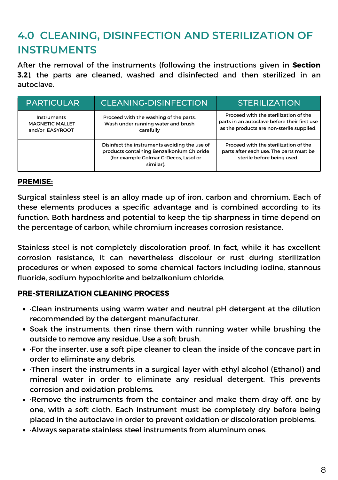## **4.0 CLEANING, DISINFECTION AND STERILIZATION OF INSTRUMENTS**

After the removal of the instruments (following the instructions given in **Section 3.2**), the parts are cleaned, washed and disinfected and then sterilized in an autoclave.

| PARTICULAR.                                              | <b>CLEANING-DISINFECTION</b>                                                                                                                     | <b>STERILIZATION</b>                                                                                                               |
|----------------------------------------------------------|--------------------------------------------------------------------------------------------------------------------------------------------------|------------------------------------------------------------------------------------------------------------------------------------|
| Instruments<br><b>MAGNETIC MALLET</b><br>and/or EASYROOT | Proceed with the washing of the parts.<br>Wash under running water and brush<br>carefully                                                        | Proceed with the sterilization of the<br>parts in an autoclave before their first use<br>as the products are non-sterile supplied. |
|                                                          | Disinfect the instruments avoiding the use of<br>products containing Benzalkonium Chloride<br>(for example Golmar G-Decos, Lysol or<br>similar). | Proceed with the sterilization of the<br>parts after each use. The parts must be<br>sterile before being used.                     |

#### **PREMISE:**

Surgical stainless steel is an alloy made up of iron, carbon and chromium. Each of these elements produces a specific advantage and is combined according to its function. Both hardness and potential to keep the tip sharpness in time depend on the percentage of carbon, while chromium increases corrosion resistance.

Stainless steel is not completely discoloration proof. In fact, while it has excellent corrosion resistance, it can nevertheless discolour or rust during sterilization procedures or when exposed to some chemical factors including iodine, stannous fluoride, sodium hypochlorite and belzalkonium chloride.

#### **PRE-STERILIZATION CLEANING PROCESS**

- ·Clean instruments using warm water and neutral pH detergent at the dilution recommended by the detergent manufacturer.
- Soak the instruments, then rinse them with running water while brushing the outside to remove any residue. Use a soft brush.
- ·For the inserter, use a soft pipe cleaner to clean the inside of the concave part in order to eliminate any debris.
- ·Then insert the instruments in a surgical layer with ethyl alcohol (Ethanol) and mineral water in order to eliminate any residual detergent. This prevents corrosion and oxidation problems.
- ·Remove the instruments from the container and make them dray off, one by one, with a soft cloth. Each instrument must be completely dry before being placed in the autoclave in order to prevent oxidation or discoloration problems.
- ·Always separate stainless steel instruments from aluminum ones.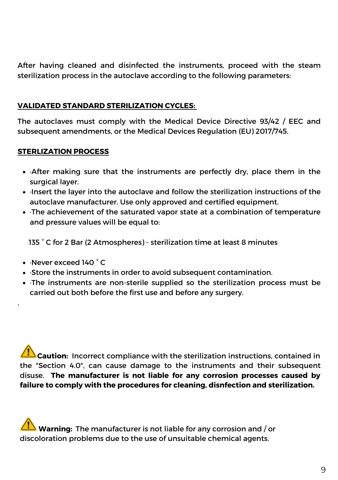After having cleaned and disinfected the instruments, proceed with the steam sterilization process in the autoclave according to the following parameters:

#### **VALIDATED STANDARD STERILIZATION CYCLES:**

The autoclaves must comply with the Medical Device Directive 93/42 / EEC and subsequent amendments, or the Medical Devices Regulation (EU) 2017/745.

### **STERLIZATION PROCESS**

- ·After making sure that the instruments are perfectly dry, place them in the surgical layer.
- ·Insert the layer into the autoclave and follow the sterilization instructions of the autoclave manufacturer. Use only approved and certified equipment.
- ·The achievement of the saturated vapor state at a combination of temperature and pressure values will be equal to:

135 ° C for 2 Bar (2 Atmospheres) - sterilization time at least 8 minutes

·Never exceed 140 ° C

.

- ·Store the instruments in order to avoid subsequent contamination.
- ·The instruments are non-sterile supplied so the sterilization process must be carried out both before the first use and before any surgery.

**Caution:** Incorrect compliance with the sterilization instructions, contained in the "Section 4.0", can cause damage to the instruments and their subsequent disuse. **The manufacturer is not liable for any corrosion processes caused by failure to comply with the procedures for cleaning, disnfection and sterilization.**

**Warning:** The manufacturer is not liable for any corrosion and / or discoloration problems due to the use of unsuitable chemical agents.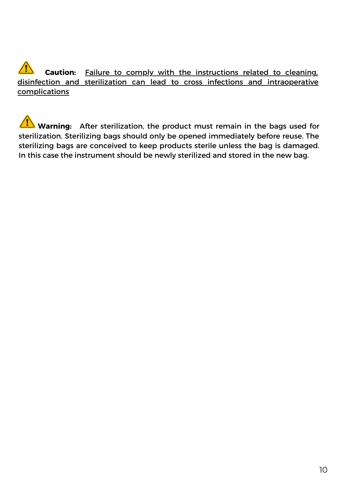## **Caution:** Failure to comply with the instructions related to cleaning, disinfection and sterilization can lead to cross infections and intraoperative complications

**Warning:** After sterilization, the product must remain in the bags used for sterilization. Sterilizing bags should only be opened immediately before reuse. The sterilizing bags are conceived to keep products sterile unless the bag is damaged. In this case the instrument should be newly sterilized and stored in the new bag.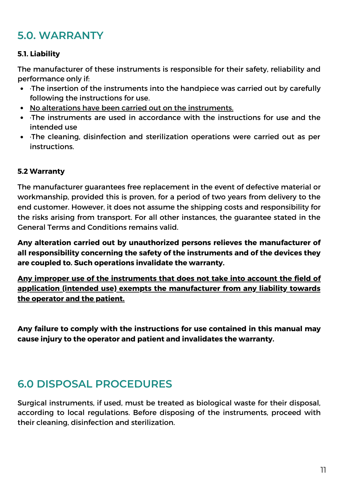## **5.0. WARRANTY**

#### **5.1. Liability**

The manufacturer of these instruments is responsible for their safety, reliability and performance only if:

- ·The insertion of the instruments into the handpiece was carried out by carefully following the instructions for use.
- No alterations have been carried out on the instruments.
- ·The instruments are used in accordance with the instructions for use and the intended use
- ·The cleaning, disinfection and sterilization operations were carried out as per **instructions**

#### **5.2 Warranty**

The manufacturer guarantees free replacement in the event of defective material or workmanship, provided this is proven, for a period of two years from delivery to the end customer. However, it does not assume the shipping costs and responsibility for the risks arising from transport. For all other instances, the guarantee stated in the General Terms and Conditions remains valid.

**Any alteration carried out by unauthorized persons relieves the manufacturer of all responsibility concerning the safety of the instruments and of the devices they are coupled to. Such operations invalidate the warranty.**

**Any improper use of the instruments that does not take into account the field of application (intended use) exempts the manufacturer from any liability towards the operator and the patient.**

**Any failure to comply with the instructions for use contained in this manual may cause injury to the operator and patient and invalidates the warranty.**

## **6.0 DISPOSAL PROCEDURES**

Surgical instruments, if used, must be treated as biological waste for their disposal, according to local regulations. Before disposing of the instruments, proceed with their cleaning, disinfection and sterilization.